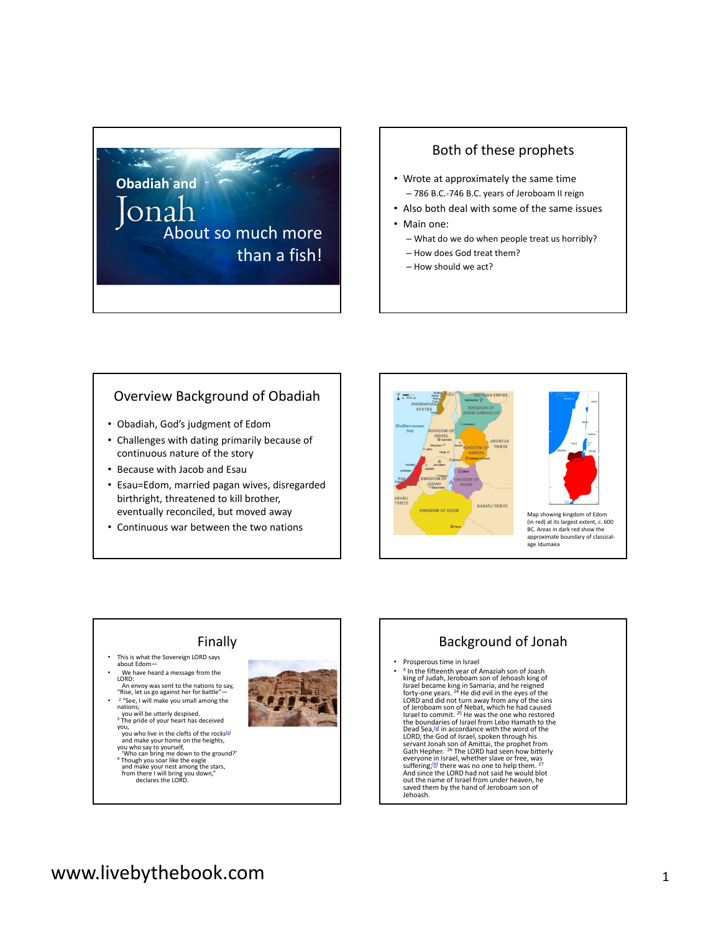## **Obadiah and** lonal About so much more than a fish!

#### Both of these prophets

- Wrote at approximately the same time – 786 B.C.-746 B.C. years of Jeroboam II reign
- Also both deal with some of the same issues
- Main one:
	- What do we do when people treat us horribly?
	- How does God treat them?
	- How should we act?

#### Overview Background of Obadiah

- Obadiah, God's judgment of Edom
- Challenges with dating primarily because of continuous nature of the story
- Because with Jacob and Esau
- Esau=Edom, married pagan wives, disregarded birthright, threatened to kill brother, eventually reconciled, but moved away
- Continuous war between the two nations





Map showing kingdom of Edom (in red) at its largest extent, c. 600 BC. Areas in dark red show the approximate boundary of classicalage Idumaea

#### Finally

- This is what the Sovereign LORD says about Edom—
- We have heard a message from the  $IORD$ .
- LORD:<br>An envoy was sent to the nations to say,<br>"Rise, let us go against her for battle"—<br>• <sup>2</sup> "See, I will make you small among the
- nations;<br>you will be utterly despised.<br><sup>3</sup> The pride of your heart has deceived
- you who live in the clefts of the rocks<sup>[a]</sup><br>and make your home on the heights,<br>you who say to yourself,<br>"Who can bring me down to the ground?"<br>"Though you soar like the eagle<br>and make your nest among the stars,<br>from there
- 
- 



## Background of Jonah

• Prosperous time in Israel

<sup>3</sup> In the fifteenth year of Amaziah son of Joash king of Judah. Jeroboam son of Jehoash king of king of Judah, Jeroboam son of Jehoash king of<br>Israel became king in Samaria, and he reigned<br>forty-one years. <sup>24</sup> He did evil in the eyes of the<br>LORD and did not turn away from any of the sins<br>of Jeroboam son of Nebat, wh Dead Sea,  $\mathbb{S}^1$  in accordance with the word of the LORD, the God of Israel, spoken through his servant Jonah son of Amittai, the prophet from Gath Hepher.  $^{26}$  The LORD had seen how bitterly everyone in Israel, whe saved them by the hand of Jeroboam son of Jehoash.

# www.livebythebook.com and the state of the state of the state  $\frac{1}{1}$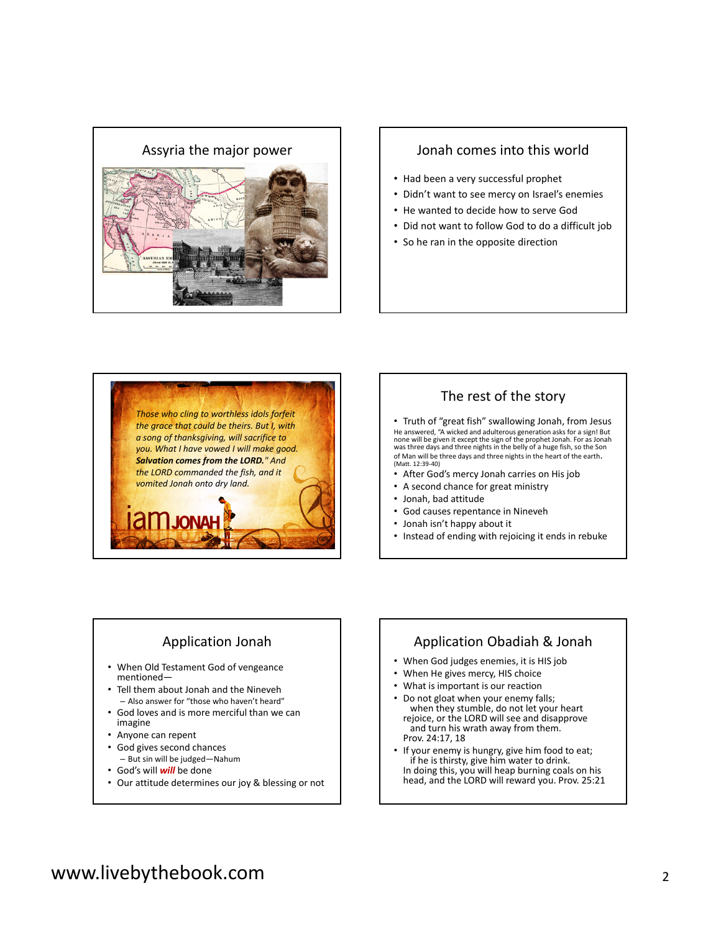

- Had been a very successful prophet
- Didn't want to see mercy on Israel's enemies
- He wanted to decide how to serve God
- Did not want to follow God to do a difficult job
- So he ran in the opposite direction



#### The rest of the story

• Truth of "great fish" swallowing Jonah, from Jesus He answered, "A wicked and adulterous generation asks for a sign! But<br>none will be given it except the sign of the prophet Jonah. For as Jonah<br>was three days and three nights in the belly of a huge fish, so the Son of Man will be three days and three nights in the heart of the earth. (Matt. 12:39-40)

- After God's mercy Jonah carries on His job
- A second chance for great ministry
- Jonah, bad attitude
- God causes repentance in Nineveh
- Jonah isn't happy about it
- Instead of ending with rejoicing it ends in rebuke

#### Application Jonah

- When Old Testament God of vengeance mentioned—
- Tell them about Jonah and the Nineveh
- Also answer for "those who haven't heard" • God loves and is more merciful than we can imagine
- Anyone can repent
- God gives second chances
- But sin will be judged—Nahum
- God's will *will* be done
- Our attitude determines our joy & blessing or not

#### Application Obadiah & Jonah

- When God judges enemies, it is HIS job
- When He gives mercy, HIS choice
- What is important is our reaction
- Do not gloat when your enemy falls; when they stumble, do not let your heart rejoice, or the LORD will see and disapprove and turn his wrath away from them. Prov. 24:17, 18
- If your enemy is hungry, give him food to eat; if he is thirsty, give him water to drink. In doing this, you will heap burning coals on his head, and the LORD will reward you. Prov. 25:21

## www.livebythebook.com <sup>2</sup>